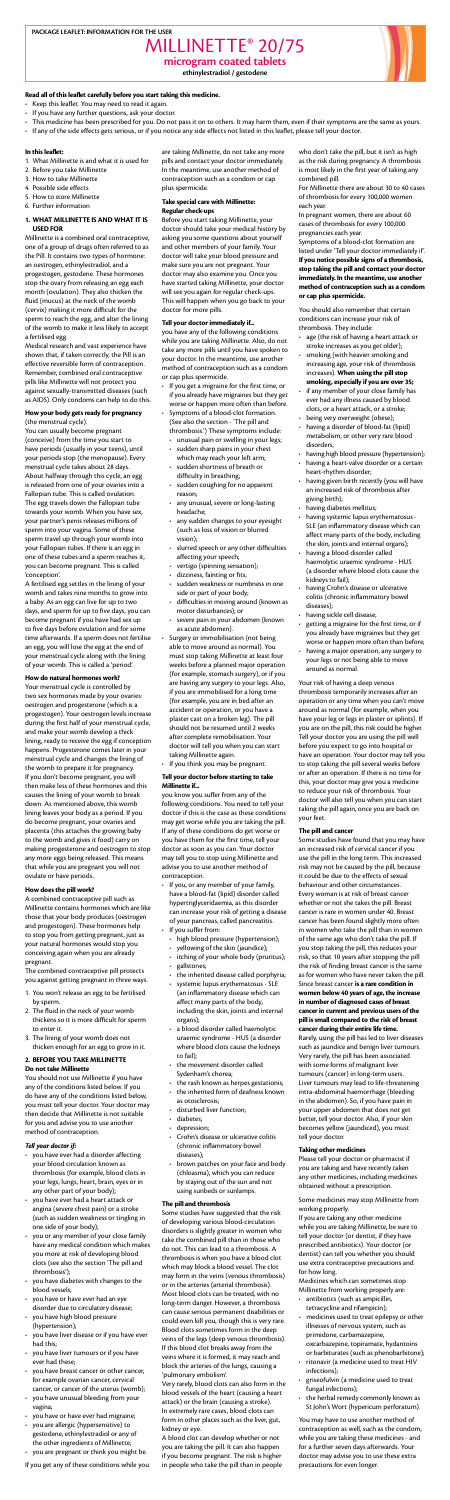#### PACKAGE LEAFLET: INFORMATION FOR THE USER

MILLINETTE<sup>®</sup> 20/75 microgram coated tablets

ethinylestradiol / gestodene



## Read all of this leaflet carefully before you start taking this medicine.

- Keep this leaflet. You may need to read it again.
- If you have any further questions, ask your doctor.
- This medicine has been prescribed for you. Do not pass it on to others. It may harm them, even if their symptoms are the same as yours.
- . If any of the side effects gets serious, or if you notice any side effects not listed in this leaflet, please tell your doctor.

#### In this leaflet:

- 1. What Millinette is and what it is used for
- 2. Before you take Millinette
- 3. How to take Millinette
- 4. Possible side effects
- 5. How to store Millinette
- 6. Further information

# 1. WHAT MILLINETTE IS AND WHAT IT IS **USED FOR**

Millinette is a combined oral contraceptive, one of a group of drugs often referred to as the Pill. It contains two types of hormone: an oestrogen, ethinylestradiol, and a progestogen, gestodene. These hormones stop the ovary from releasing an egg each month (ovulation). They also thicken the fluid (mucus) at the neck of the womb (cervix) making it more difficult for the sperm to reach the egg, and alter the lining of the womb to make it less likely to accept a fertilised egg.

Medical research and vast experience have shown that, if taken correctly, the Pill is an effective reversible form of contraception. Remember, combined oral contraceptive pills like Millinette will not protect you against sexually-transmitted diseases (such as AIDS). Only condoms can help to do this.

# How your body gets ready for pregnancy (the menstrual cycle).

You can usually become pregnant (conceive) from the time you start to have periods (usually in your teens), until your periods stop (the menopause). Every menstrual cycle takes about 28 days. About halfway through this cycle, an egg is released from one of vour ovaries into a Fallopian tube. This is called ovulation. The egg travels down the Fallopian tube towards your womb. When you have sex, your partner's penis releases millions of sperm into your vagina. Some of these sperm travel up through your womb into your Fallopian tubes. If there is an egg in one of these tubes and a sperm reaches it, you can become pregnant. This is called .'conception'

A fertilised egg settles in the lining of your womb and takes nine months to grow into a baby. As an egg can live for up to two days, and sperm for up to five days, you can become pregnant if you have had sex up to five days before ovulation and for some time afterwards. If a sperm does not fertilise an egg, you will lose the egg at the end of your menstrual cycle along with the lining of your womb. This is called a 'period'.

#### How do natural hormones work?

Your menstrual cycle is controlled by two sex hormones made by your ovaries: oestrogen and progesterone (which is a progestogen). Your oestrogen levels increase during the first half of your menstrual cycle, and make your womb develop a thick lining, ready to receive the egg if conception happens. Progesterone comes later in your menstrual cycle and changes the lining of the womb to prepare it for pregnancy. If you don't become pregnant, you will then make less of these hormones and this causes the lining of your womb to break down. As mentioned above, this womb lining leaves your body as a period. If you do become pregnant, your ovaries and placenta (this attaches the growing baby to the womb and gives it food) carry on making progesterone and oestrogen to stop any more eggs being released. This means that while you are pregnant you will not ovulate or have periods.

are taking Millinette, do not take any more pills and contact your doctor immediately. In the meantime, use another method of contraception such as a condom or cap plus spermicide.

#### Take special care with Millinette: Regular check-ups

Before you start taking Millinette, your doctor should take your medical history by asking you some questions about yourself and other members of your family. Your doctor will take your blood pressure and make sure you are not pregnant. Your doctor may also examine you. Once you have started taking Millinette, your doctor will see you again for regular check-ups. This will happen when you go back to your doctor for more pills.

## Tell your doctor immediately if...

you have any of the following conditions while you are taking Millinette. Also, do not take any more pills until you have spoken to your doctor. In the meantime, use another method of contraception such as a condom or cap plus spermicide.

- If you get a migraine for the first time, or if you already have migraines but they get worse or happen more often than before.
- Symptoms of a blood-clot formation. (See also the section - 'The pill and
- thrombosis.') These symptoms include: • unusual pain or swelling in your legs;
- sudden sharp pains in your chest which may reach your left arm;
- sudden shortness of breath or difficulty in breathing;
- $\cdot$  sudden coughing for no apparent reason;
- any unusual, severe or long-lasting headache;
- any sudden changes to your eyesight (such as loss of vision or blurred vision);
- slurred speech or any other difficulties affecting your speech;
- vertigo (spinning sensation);
- dizziness, fainting or fits;
- sudden weakness or numbness in one side or part of your body;
- difficulties in moving around (known as motor disturbances); or
- severe pain in your abdomen (known as acute abdomen).
- Surgery or immobilisation (not being able to move around as normal). You must stop taking Millinette at least four weeks before a planned major operation (for example, stomach surgery), or if you are having any surgery to your legs. Also, if you are immobilised for a long time (for example, you are in bed after an accident or operation, or you have a plaster cast on a broken leg). The pill should not be resumed until 2 weeks after complete remobilisation. Your doctor will tell you when you can start taking Millinette again.
- If you think you may be pregnant.

#### Tell your doctor before starting to take Millinette if...

who don't take the pill, but it isn't as high as the risk during pregnancy. A thrombosis is most likely in the first year of taking any combined pill.

For Millinette there are about 30 to 40 cases of thrombosis for every 100,000 women each year.

In pregnant women, there are about 60 cases of thrombosis for every 100,000 pregnancies each vear.

Symptoms of a blood-clot formation are listed under 'Tell your doctor immediately if'. If you notice possible signs of a thrombosis, stop taking the pill and contact your doctor immediately. In the meantime, use another method of contraception such as a condom or cap plus spermicide.

You should also remember that certain conditions can increase your risk of thrombosis. They include:

- age (the risk of having a heart attack or stroke increases as you get older);
- smoking (with heavier smoking and increasing age, your risk of thrombosis increases). When using the pill stop smoking, especially if you are over 35;
- if any member of your close family has ever had any illness caused by blood clots, or a heart attack, or a stroke;
- being very overweight (obese);
- having a disorder of blood-fat (lipid) metabolism, or other very rare blood disorders:
- having high blood pressure (hypertension);
- having a heart-valve disorder or a certain heart-rhythm disorder;
- having given birth recently (you will have an increased risk of thrombosis after giving birth);
- having diabetes mellitus;
- having systemic lupus erythematosus -SLE (an inflammatory disease which can affect many parts of the body, including the skin, joints and internal organs);
- having a blood disorder called haemolytic uraemic syndrome - HUS (a disorder where blood clots cause the kidneys to fail);
- having Crohn's disease or ulcerative colitis (chronic inflammatory bowel diseases):
- having sickle cell disease;
- getting a migraine for the first time, or if you already have migraines but they get worse or happen more often than before;
- having a major operation, any surgery to your legs or not being able to move around as normal.

Your risk of having a deep venous thrombosis temporarily increases after an operation or any time when you can't move around as normal (for example, when you have your leg or legs in plaster or splints). If you are on the pill, this risk could be higher. Tell your doctor you are using the pill well before you expect to go into hospital or have an operation. Your doctor may tell you to stop taking the pill several weeks before or after an operation. If there is no time for this, your doctor may give you a medicine to reduce your risk of thrombosis. Your

## How does the pill work?

A combined contraceptive pill such as Millinette contains hormones which are like those that your body produces (oestrogen and progestogen). These hormones help to stop you from getting pregnant, just as your natural hormones would stop you conceiving again when you are already .pregnant

The combined contraceptive pill protects you against getting pregnant in three ways.

- 1. You won't release an egg to be fertilised by sperm.
- 2. The fluid in the neck of your womb thickens so it is more difficult for sperm to enter it.
- 3. The lining of your womb does not thicken enough for an egg to grow in it.

#### 2. BEFORE YOU TAKE MILLINETTE Do not take Millinette

You should not use Millinette if you have any of the conditions listed below. If you do have any of the conditions listed below, you must tell your doctor. Your doctor may then decide that Millinette is not suitable for you and advise you to use another method of contraception.

#### Tell your doctor if:

- you have ever had a disorder affecting your blood circulation known as thrombosis (for example, blood clots in your legs, lungs, heart, brain, eyes or in any other part of your body);
- you have ever had a heart attack or angina (severe chest pain) or a stroke (such as sudden weakness or tingling in one side of your body);
- you or any member of your close family have any medical condition which makes you more at risk of developing blood clots (see also the section 'The pill and thrombosis');
- you have diabetes with changes to the blood vessels;
- you have or have ever had an eye disorder due to circulatory disease;
- you have high blood pressure (hypertension);
- you have liver disease or if you have ever had this;
- you have liver tumours or if you have ever had these;
- you have breast cancer or other cancer, for example ovarian cancer, cervical cancer, or cancer of the uterus (womb);
- you have unusual bleeding from your vagina;
- you have or have ever had migraine;
- you are allergic (hypersensitive) to gestodene, ethinylestradiol or any of the other ingredients of Millinette;
- you are pregnant or think you might be.

If you get any of these conditions while you

you know you suffer from any of the following conditions. You need to tell your doctor if this is the case as these conditions may get worse while you are taking the pill. If any of these conditions do get worse or you have them for the first time, tell your doctor as soon as you can. Your doctor may tell you to stop using Millinette and advise you to use another method of .contraception

- If you, or any member of your family, have a blood-fat (lipid) disorder called hypertriglyceridaemia, as this disorder can increase your risk of getting a disease of your pancreas, called pancreatitis. If you suffer from:
	- high blood pressure (hypertension);
	- yellowing of the skin (jaundice);
	- itching of your whole body (pruritus);
	- gallstones:
	- the inherited disease called porphyria;
	- systemic lupus erythematosus SLE (an inflammatory disease which can affect many parts of the body, including the skin, joints and internal organs);
	- $\cdot$  a blood disorder called haemolytic uraemic syndrome - HUS (a disorder where blood clots cause the kidneys to fail);
	- $\cdot$  the movement disorder called Sydenham's chorea;
	- the rash known as herpes gestationis;
	- $\cdot$  the inherited form of deafness known as otosclerosis;
	- disturbed liver function;
	- diabetes;
	- depression;
	- Crohn's disease or ulcerative colitis (chronic inflammatory bowel diseases);
	- brown patches on your face and body (chloasma), which you can reduce by staying out of the sun and not using sunbeds or sunlamps.

#### The pill and thrombosis

Some studies have suggested that the risk of developing various blood-circulation disorders is slightly greater in women who take the combined pill than in those who do not. This can lead to a thrombosis. A thrombosis is when you have a blood clot which may block a blood vessel. The clot may form in the veins (venous thrombosis) or in the arteries (arterial thrombosis). Most blood clots can be treated, with no long-term danger. However, a thrombosis can cause serious permanent disabilities or could even kill you, though this is very rare. Blood clots sometimes form in the deep veins of the legs (deep venous thrombosis). If this blood clot breaks away from the veins where it is formed, it may reach and block the arteries of the lungs, causing a 'pulmonary embolism'.

Very rarely, blood clots can also form in the blood vessels of the heart (causing a heart attack) or the brain (causing a stroke). In extremely rare cases, blood clots can form in other places such as the liver, gut, kidney or eye.

A blood clot can develop whether or not you are taking the pill. It can also happen if you become pregnant. The risk is higher in people who take the pill than in people doctor will also tell you when you can start taking the pill again, once you are back on your feet.

#### The pill and cancer

Some studies have found that you may have an increased risk of cervical cancer if you use the pill in the long term. This increased risk may not be caused by the pill, because it could be due to the effects of sexual behaviour and other circumstances. Every woman is at risk of breast cancer whether or not she takes the pill. Breast cancer is rare in women under 40. Breast cancer has been found slightly more often in women who take the pill than in women of the same age who don't take the pill. If you stop taking the pill, this reduces your risk, so that 10 years after stopping the pill the risk of finding breast cancer is the same as for women who have never taken the pill. Since breast cancer is a rare condition in women below 40 years of age, the increase in number of diagnosed cases of breast cancer in current and previous users of the pill is small compared to the risk of breast cancer during their entire life time.

Rarely, using the pill has led to liver diseases such as jaundice and benign liver tumours. Very rarely, the pill has been associated with some forms of malignant liver tumours (cancer) in long-term users. Liver tumours may lead to life-threatening intra-abdominal haemorrhage (bleeding in the abdomen). So, if you have pain in your upper abdomen that does not get better, tell your doctor. Also, if your skin becomes yellow (jaundiced), you must tell your doctor.

#### Taking other medicines

Please tell your doctor or pharmacist if you are taking and have recently taken any other medicines, including medicines obtained without a prescription.

Some medicines may stop Millinette from working properly.

If you are taking any other medicine while you are taking Millinette, be sure to tell your doctor (or dentist, if they have prescribed antibiotics). Your doctor (or dentist) can tell you whether you should use extra contraceptive precautions and for how long.

Medicines which can sometimes stop Millinette from working properly are:

- antibiotics (such as ampicillin, tetracycline and rifampicin);
- medicines used to treat epilepsy or other illnesses of nervous system, such as primidone, carbamazepine, oxcarbazepine, topiramate, hydantoins or barbiturates (such as phenobarbitone);
- ritonavir (a medicine used to treat HIV infections);
- griseofulvin (a medicine used to treat fungal infections);
- the herbal remedy commonly known as St John's Wort (hypericum perforatum).

You may have to use another method of contraception as well, such as the condom, while you are taking these medicines - and for a further seven days afterwards. Your doctor may advise you to use these extra precautions for even longer.